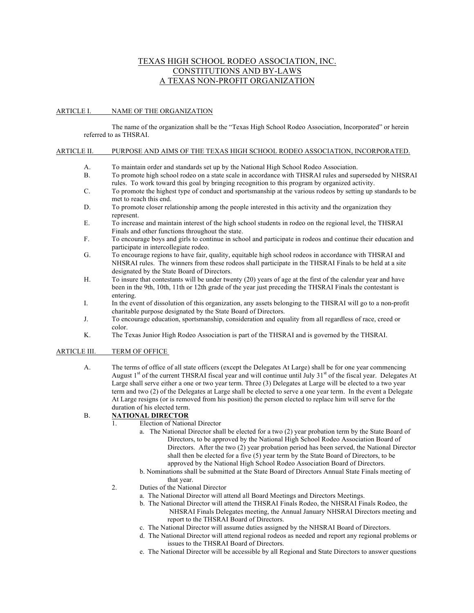# TEXAS HIGH SCHOOL RODEO ASSOCIATION, INC. CONSTITUTIONS AND BY-LAWS A TEXAS NON-PROFIT ORGANIZATION

#### ARTICLE I. NAME OF THE ORGANIZATION

The name of the organization shall be the "Texas High School Rodeo Association, Incorporated" or herein referred to as THSRAI.

#### ARTICLE II. PURPOSE AND AIMS OF THE TEXAS HIGH SCHOOL RODEO ASSOCIATION, INCORPORATED.

- A. To maintain order and standards set up by the National High School Rodeo Association.
- B. To promote high school rodeo on a state scale in accordance with THSRAI rules and superseded by NHSRAI rules. To work toward this goal by bringing recognition to this program by organized activity.
- C. To promote the highest type of conduct and sportsmanship at the various rodeos by setting up standards to be met to reach this end.
- D. To promote closer relationship among the people interested in this activity and the organization they represent.
- E. To increase and maintain interest of the high school students in rodeo on the regional level, the THSRAI Finals and other functions throughout the state.
- F. To encourage boys and girls to continue in school and participate in rodeos and continue their education and participate in intercollegiate rodeo.
- G. To encourage regions to have fair, quality, equitable high school rodeos in accordance with THSRAI and NHSRAI rules. The winners from these rodeos shall participate in the THSRAI Finals to be held at a site designated by the State Board of Directors.
- H. To insure that contestants will be under twenty (20) years of age at the first of the calendar year and have been in the 9th, 10th, 11th or 12th grade of the year just preceding the THSRAI Finals the contestant is entering.
- I. In the event of dissolution of this organization, any assets belonging to the THSRAI will go to a non-profit charitable purpose designated by the State Board of Directors.
- J. To encourage education, sportsmanship, consideration and equality from all regardless of race, creed or color.
- K. The Texas Junior High Rodeo Association is part of the THSRAI and is governed by the THSRAI.

#### ARTICLE III. TERM OF OFFICE

A. The terms of office of all state officers (except the Delegates At Large) shall be for one year commencing August  $1<sup>st</sup>$  of the current THSRAI fiscal year and will continue until July 31 $<sup>st</sup>$  of the fiscal year. Delegates At</sup> Large shall serve either a one or two year term. Three (3) Delegates at Large will be elected to a two year term and two (2) of the Delegates at Large shall be elected to serve a one year term. In the event a Delegate At Large resigns (or is removed from his position) the person elected to replace him will serve for the duration of his elected term.

## B. **NATIONAL DIRECTOR**

- 1. Election of National Director
	- a. The National Director shall be elected for a two (2) year probation term by the State Board of Directors, to be approved by the National High School Rodeo Association Board of Directors. After the two (2) year probation period has been served, the National Director shall then be elected for a five (5) year term by the State Board of Directors, to be approved by the National High School Rodeo Association Board of Directors.
	- b. Nominations shall be submitted at the State Board of Directors Annual State Finals meeting of that year.
- 2. Duties of the National Director
	- a. The National Director will attend all Board Meetings and Directors Meetings.
	- b. The National Director will attend the THSRAI Finals Rodeo, the NHSRAI Finals Rodeo, the NHSRAI Finals Delegates meeting, the Annual January NHSRAI Directors meeting and report to the THSRAI Board of Directors.
	- c. The National Director will assume duties assigned by the NHSRAI Board of Directors.
	- d. The National Director will attend regional rodeos as needed and report any regional problems or issues to the THSRAI Board of Directors.
	- e. The National Director will be accessible by all Regional and State Directors to answer questions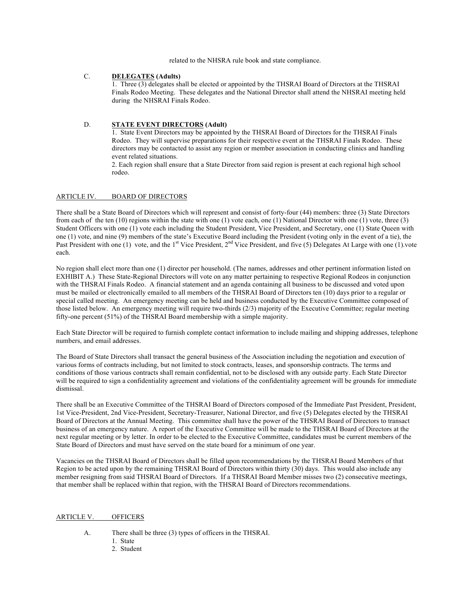related to the NHSRA rule book and state compliance.

# C. **DELEGATES (Adults)**

1. Three (3) delegates shall be elected or appointed by the THSRAI Board of Directors at the THSRAI Finals Rodeo Meeting. These delegates and the National Director shall attend the NHSRAI meeting held during the NHSRAI Finals Rodeo.

## D. **STATE EVENT DIRECTORS (Adult)**

1. State Event Directors may be appointed by the THSRAI Board of Directors for the THSRAI Finals Rodeo. They will supervise preparations for their respective event at the THSRAI Finals Rodeo. These directors may be contacted to assist any region or member association in conducting clinics and handling event related situations.

2. Each region shall ensure that a State Director from said region is present at each regional high school rodeo.

## ARTICLE IV. BOARD OF DIRECTORS

There shall be a State Board of Directors which will represent and consist of forty-four (44) members: three (3) State Directors from each of the ten (10) regions within the state with one (1) vote each, one (1) National Director with one (1) vote, three (3) Student Officers with one (1) vote each including the Student President, Vice President, and Secretary, one (1) State Queen with one (1) vote, and nine (9) members of the state's Executive Board including the President (voting only in the event of a tie), the Past President with one (1) vote, and the 1<sup>st</sup> Vice President, 2<sup>nd</sup> Vice President, and five (5) Delegates At Large with one (1) vote each.

No region shall elect more than one (1) director per household. (The names, addresses and other pertinent information listed on EXHIBIT A.) These State-Regional Directors will vote on any matter pertaining to respective Regional Rodeos in conjunction with the THSRAI Finals Rodeo. A financial statement and an agenda containing all business to be discussed and voted upon must be mailed or electronically emailed to all members of the THSRAI Board of Directors ten (10) days prior to a regular or special called meeting. An emergency meeting can be held and business conducted by the Executive Committee composed of those listed below. An emergency meeting will require two-thirds (2/3) majority of the Executive Committee; regular meeting fifty-one percent (51%) of the THSRAI Board membership with a simple majority.

Each State Director will be required to furnish complete contact information to include mailing and shipping addresses, telephone numbers, and email addresses.

The Board of State Directors shall transact the general business of the Association including the negotiation and execution of various forms of contracts including, but not limited to stock contracts, leases, and sponsorship contracts. The terms and conditions of those various contracts shall remain confidential, not to be disclosed with any outside party. Each State Director will be required to sign a confidentiality agreement and violations of the confidentiality agreement will be grounds for immediate dismissal.

There shall be an Executive Committee of the THSRAI Board of Directors composed of the Immediate Past President, President, 1st Vice-President, 2nd Vice-President, Secretary-Treasurer, National Director, and five (5) Delegates elected by the THSRAI Board of Directors at the Annual Meeting. This committee shall have the power of the THSRAI Board of Directors to transact business of an emergency nature. A report of the Executive Committee will be made to the THSRAI Board of Directors at the next regular meeting or by letter. In order to be elected to the Executive Committee, candidates must be current members of the State Board of Directors and must have served on the state board for a minimum of one year.

Vacancies on the THSRAI Board of Directors shall be filled upon recommendations by the THSRAI Board Members of that Region to be acted upon by the remaining THSRAI Board of Directors within thirty (30) days. This would also include any member resigning from said THSRAI Board of Directors. If a THSRAI Board Member misses two (2) consecutive meetings, that member shall be replaced within that region, with the THSRAI Board of Directors recommendations.

#### ARTICLE V. OFFICERS

- A. There shall be three (3) types of officers in the THSRAI.
	- 1. State
		- 2. Student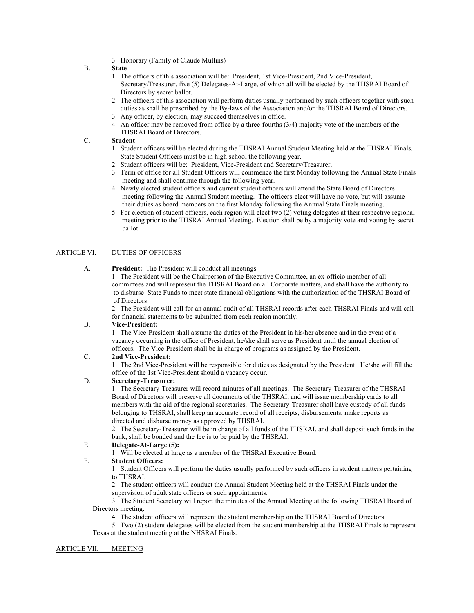3. Honorary (Family of Claude Mullins)

# B. **State**

- $\overline{1}$ . The officers of this association will be: President, 1st Vice-President, 2nd Vice-President, Secretary/Treasurer, five (5) Delegates-At-Large, of which all will be elected by the THSRAI Board of Directors by secret ballot.
- 2. The officers of this association will perform duties usually performed by such officers together with such duties as shall be prescribed by the By-laws of the Association and/or the THSRAI Board of Directors.
- 3. Any officer, by election, may succeed themselves in office.
- 4. An officer may be removed from office by a three-fourths (3/4) majority vote of the members of the THSRAI Board of Directors.

# C. **Student**

- 1. Student officers will be elected during the THSRAI Annual Student Meeting held at the THSRAI Finals. State Student Officers must be in high school the following year.
- 2. Student officers will be: President, Vice-President and Secretary/Treasurer.
- 3. Term of office for all Student Officers will commence the first Monday following the Annual State Finals meeting and shall continue through the following year.
- 4. Newly elected student officers and current student officers will attend the State Board of Directors meeting following the Annual Student meeting. The officers-elect will have no vote, but will assume their duties as board members on the first Monday following the Annual State Finals meeting.
- 5. For election of student officers, each region will elect two (2) voting delegates at their respective regional meeting prior to the THSRAI Annual Meeting. Election shall be by a majority vote and voting by secret ballot.

### ARTICLE VI. DUTIES OF OFFICERS

A. **President:** The President will conduct all meetings.

1. The President will be the Chairperson of the Executive Committee, an ex-officio member of all committees and will represent the THSRAI Board on all Corporate matters, and shall have the authority to to disburse State Funds to meet state financial obligations with the authorization of the THSRAI Board of of Directors.

2. The President will call for an annual audit of all THSRAI records after each THSRAI Finals and will call for financial statements to be submitted from each region monthly.

#### B. **Vice-President:**

1. The Vice-President shall assume the duties of the President in his/her absence and in the event of a vacancy occurring in the office of President, he/she shall serve as President until the annual election of officers. The Vice-President shall be in charge of programs as assigned by the President.

## C. **2nd Vice-President:**

1. The 2nd Vice-President will be responsible for duties as designated by the President. He/she will fill the office of the 1st Vice-President should a vacancy occur.

## D. **Secretary-Treasurer:**

1. The Secretary-Treasurer will record minutes of all meetings. The Secretary-Treasurer of the THSRAI Board of Directors will preserve all documents of the THSRAI, and will issue membership cards to all members with the aid of the regional secretaries. The Secretary-Treasurer shall have custody of all funds belonging to THSRAI, shall keep an accurate record of all receipts, disbursements, make reports as directed and disburse money as approved by THSRAI.

2. The Secretary-Treasurer will be in charge of all funds of the THSRAI, and shall deposit such funds in the bank, shall be bonded and the fee is to be paid by the THSRAI.

#### E. **Delegate-At-Large (5):**

1. Will be elected at large as a member of the THSRAI Executive Board.

## F. **Student Officers:**

1. Student Officers will perform the duties usually performed by such officers in student matters pertaining to THSRAI.

2. The student officers will conduct the Annual Student Meeting held at the THSRAI Finals under the supervision of adult state officers or such appointments.

3. The Student Secretary will report the minutes of the Annual Meeting at the following THSRAI Board of Directors meeting.

4. The student officers will represent the student membership on the THSRAI Board of Directors.

5. Two (2) student delegates will be elected from the student membership at the THSRAI Finals to represent Texas at the student meeting at the NHSRAI Finals.

### ARTICLE VII. MEETING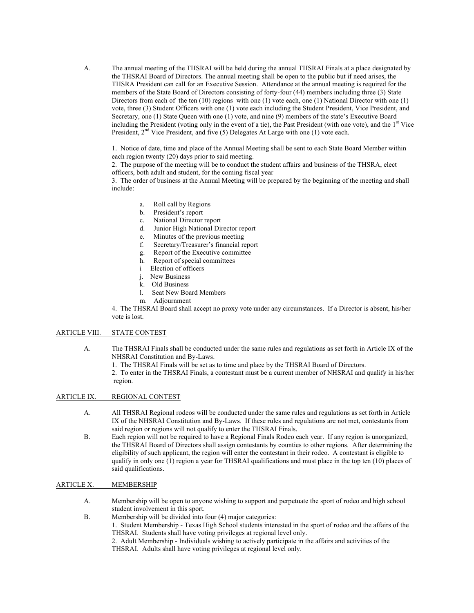A. The annual meeting of the THSRAI will be held during the annual THSRAI Finals at a place designated by the THSRAI Board of Directors. The annual meeting shall be open to the public but if need arises, the THSRA President can call for an Executive Session. Attendance at the annual meeting is required for the members of the State Board of Directors consisting of forty-four (44) members including three (3) State Directors from each of the ten (10) regions with one (1) vote each, one (1) National Director with one (1) vote, three (3) Student Officers with one (1) vote each including the Student President, Vice President, and Secretary, one (1) State Queen with one (1) vote, and nine (9) members of the state's Executive Board including the President (voting only in the event of a tie), the Past President (with one vote), and the  $1<sup>st</sup>$  Vice President, 2<sup>nd</sup> Vice President, and five (5) Delegates At Large with one (1) vote each.

1. Notice of date, time and place of the Annual Meeting shall be sent to each State Board Member within each region twenty (20) days prior to said meeting.

2. The purpose of the meeting will be to conduct the student affairs and business of the THSRA, elect officers, both adult and student, for the coming fiscal year

3. The order of business at the Annual Meeting will be prepared by the beginning of the meeting and shall include:

- a. Roll call by Regions
- b. President's report
- c. National Director report
- d. Junior High National Director report
- e. Minutes of the previous meeting
- f. Secretary/Treasurer's financial report
- g. Report of the Executive committee
- h. Report of special committees
- i Election of officers
- j. New Business
- k. Old Business
- l. Seat New Board Members
- m. Adjournment

4. The THSRAI Board shall accept no proxy vote under any circumstances. If a Director is absent, his/her vote is lost.

## ARTICLE VIII. STATE CONTEST

- A. The THSRAI Finals shall be conducted under the same rules and regulations as set forth in Article IX of the NHSRAI Constitution and By-Laws.
	- 1. The THSRAI Finals will be set as to time and place by the THSRAI Board of Directors.
	- 2. To enter in the THSRAI Finals, a contestant must be a current member of NHSRAI and qualify in his/her region.

### ARTICLE IX. REGIONAL CONTEST

- A. All THSRAI Regional rodeos will be conducted under the same rules and regulations as set forth in Article IX of the NHSRAI Constitution and By-Laws. If these rules and regulations are not met, contestants from said region or regions will not qualify to enter the THSRAI Finals.
- B. Each region will not be required to have a Regional Finals Rodeo each year. If any region is unorganized, the THSRAI Board of Directors shall assign contestants by counties to other regions. After determining the eligibility of such applicant, the region will enter the contestant in their rodeo. A contestant is eligible to qualify in only one (1) region a year for THSRAI qualifications and must place in the top ten (10) places of said qualifications.

#### ARTICLE X. MEMBERSHIP

- A. Membership will be open to anyone wishing to support and perpetuate the sport of rodeo and high school student involvement in this sport.
- B. Membership will be divided into four (4) major categories:
	- 1. Student Membership Texas High School students interested in the sport of rodeo and the affairs of the THSRAI. Students shall have voting privileges at regional level only.
		- 2. Adult Membership Individuals wishing to actively participate in the affairs and activities of the THSRAI. Adults shall have voting privileges at regional level only.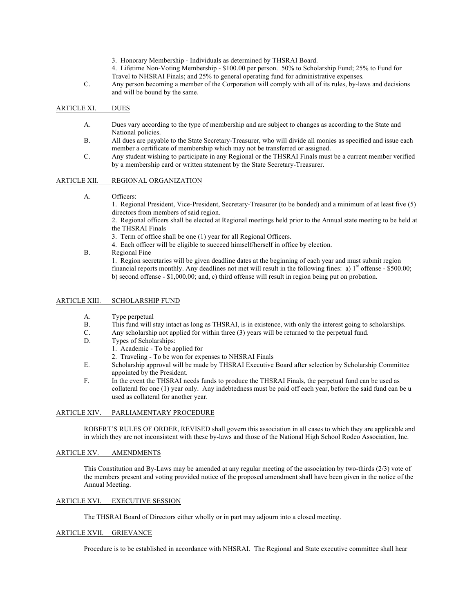- 3. Honorary Membership Individuals as determined by THSRAI Board.
- 4. Lifetime Non-Voting Membership \$100.00 per person. 50% to Scholarship Fund; 25% to Fund for Travel to NHSRAI Finals; and 25% to general operating fund for administrative expenses.
- C. Any person becoming a member of the Corporation will comply with all of its rules, by-laws and decisions and will be bound by the same.

#### ARTICLE XI. DUES

- A. Dues vary according to the type of membership and are subject to changes as according to the State and National policies.
- B. All dues are payable to the State Secretary-Treasurer, who will divide all monies as specified and issue each member a certificate of membership which may not be transferred or assigned.
- C. Any student wishing to participate in any Regional or the THSRAI Finals must be a current member verified by a membership card or written statement by the State Secretary-Treasurer.

#### ARTICLE XII. REGIONAL ORGANIZATION

A. Officers:

1. Regional President, Vice-President, Secretary-Treasurer (to be bonded) and a minimum of at least five (5) directors from members of said region.

2. Regional officers shall be elected at Regional meetings held prior to the Annual state meeting to be held at the THSRAI Finals

3. Term of office shall be one (1) year for all Regional Officers.

- 4. Each officer will be eligible to succeed himself/herself in office by election.
- B. Regional Fine

1. Region secretaries will be given deadline dates at the beginning of each year and must submit region financial reports monthly. Any deadlines not met will result in the following fines: a)  $1<sup>st</sup>$  offense - \$500.00; b) second offense - \$1,000.00; and, c) third offense will result in region being put on probation.

#### ARTICLE XIII. SCHOLARSHIP FUND

- A. Type perpetual
- B. This fund will stay intact as long as THSRAI, is in existence, with only the interest going to scholarships.<br>C. Any scholarship not applied for within three (3) years will be returned to the perpetual fund.
- Any scholarship not applied for within three (3) years will be returned to the perpetual fund.
- D. Types of Scholarships:
	- 1. Academic To be applied for
	- 2. Traveling To be won for expenses to NHSRAI Finals
- E. Scholarship approval will be made by THSRAI Executive Board after selection by Scholarship Committee appointed by the President.
- F. In the event the THSRAI needs funds to produce the THSRAI Finals, the perpetual fund can be used as collateral for one (1) year only. Any indebtedness must be paid off each year, before the said fund can be u used as collateral for another year.

## ARTICLE XIV. PARLIAMENTARY PROCEDURE

ROBERT'S RULES OF ORDER, REVISED shall govern this association in all cases to which they are applicable and in which they are not inconsistent with these by-laws and those of the National High School Rodeo Association, Inc.

## ARTICLE XV. AMENDMENTS

This Constitution and By-Laws may be amended at any regular meeting of the association by two-thirds (2/3) vote of the members present and voting provided notice of the proposed amendment shall have been given in the notice of the Annual Meeting.

#### ARTICLE XVI. EXECUTIVE SESSION

The THSRAI Board of Directors either wholly or in part may adjourn into a closed meeting.

#### ARTICLE XVII. GRIEVANCE

Procedure is to be established in accordance with NHSRAI. The Regional and State executive committee shall hear